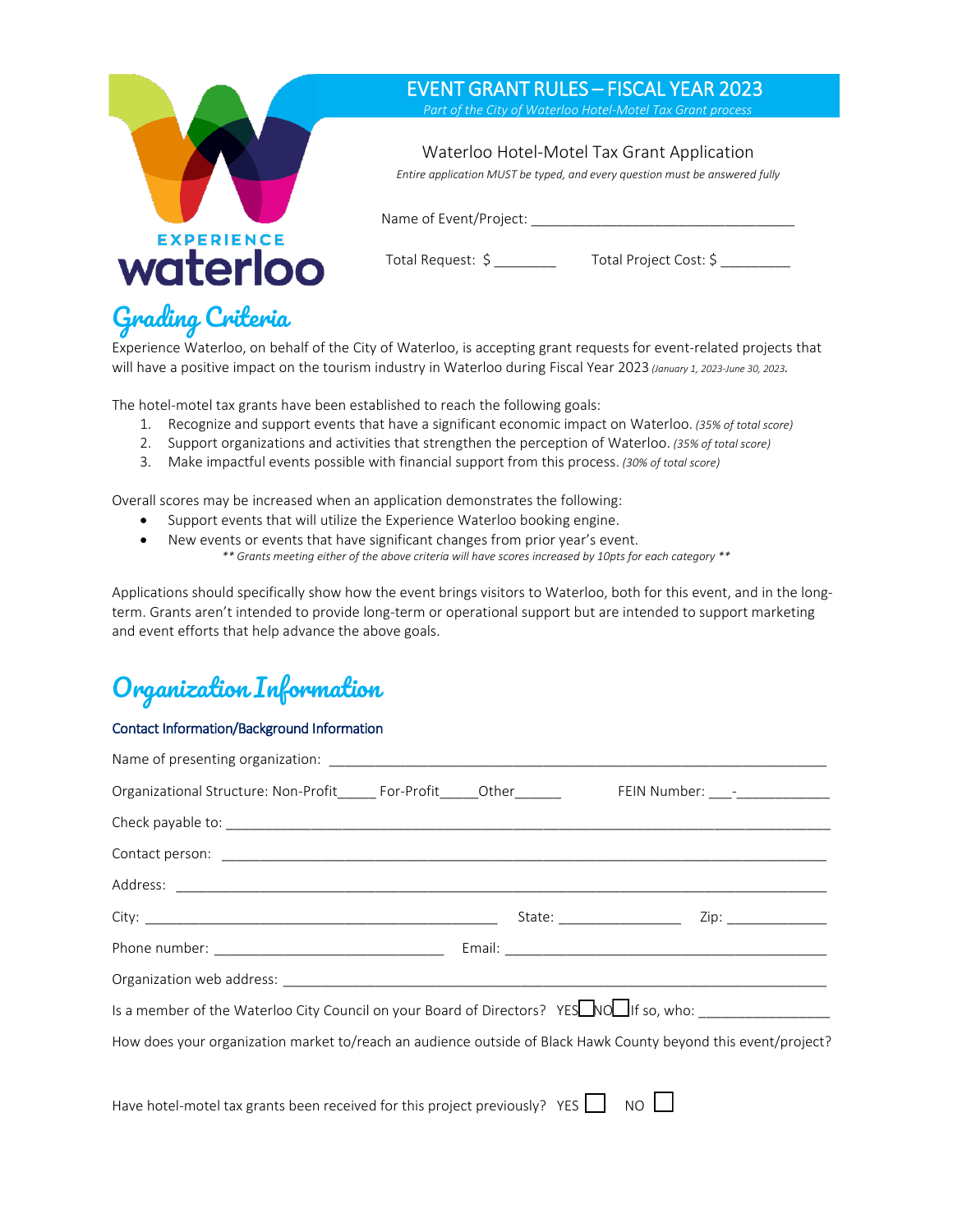

# Grading Criteria

Experience Waterloo, on behalf of the City of Waterloo, is accepting grant requests for event-related projects that will have a positive impact on the tourism industry in Waterloo during Fiscal Year 2023 *(January 1, 2023-June 30, 2023.*

The hotel-motel tax grants have been established to reach the following goals:

- 1. Recognize and support events that have a significant economic impact on Waterloo. *(35% of total score)*
- 2. Support organizations and activities that strengthen the perception of Waterloo. *(35% of total score)*
- 3. Make impactful events possible with financial support from this process. *(30% of total score)*

Overall scores may be increased when an application demonstrates the following:

- Support events that will utilize the Experience Waterloo booking engine.
- New events or events that have significant changes from prior year's event. *\*\* Grants meeting either of the above criteria will have scores increased by 10pts for each category \*\**

Applications should specifically show how the event brings visitors to Waterloo, both for this event, and in the longterm. Grants aren't intended to provide long-term or operational support but are intended to support marketing and event efforts that help advance the above goals.

### Organization Information

#### Contact Information/Background Information

| Is a member of the Waterloo City Council on your Board of Directors? YESNON If so, who: _________________      |  |
|----------------------------------------------------------------------------------------------------------------|--|
| How does your organization market to/reach an audience outside of Black Hawk County beyond this event/project? |  |
|                                                                                                                |  |
| Have hotel-motel tax grants been received for this project previously? YES $\Box$ NO $\Box$                    |  |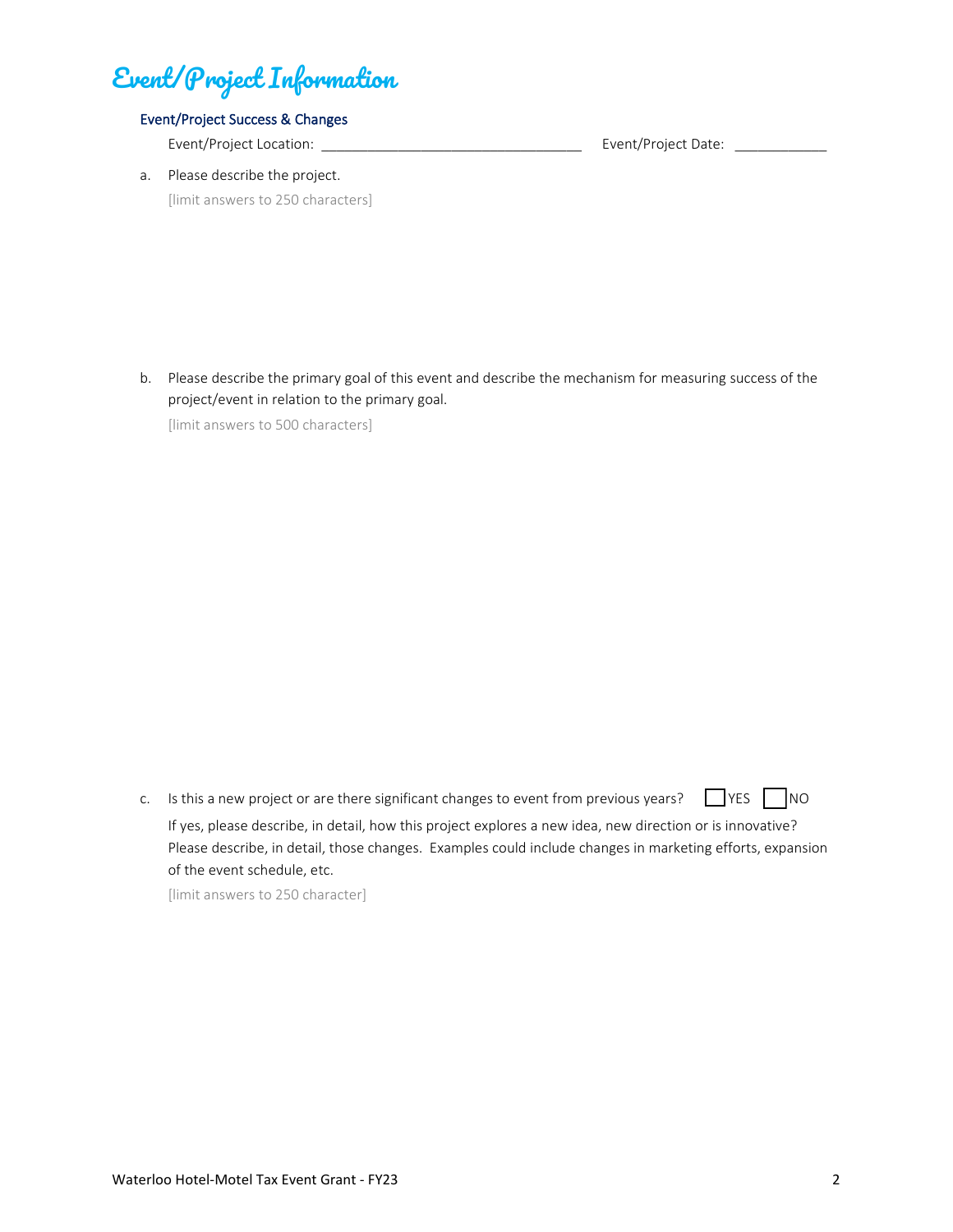# Event/Project Information

#### Event/Project Success & Changes

Event/Project Location: \_\_\_\_\_\_\_\_\_\_\_\_\_\_\_\_\_\_\_\_\_\_\_\_\_\_\_\_\_\_\_\_\_\_ Event/Project Date: \_\_\_\_\_\_\_\_\_\_\_\_

a. Please describe the project. [limit answers to 250 characters]

b. Please describe the primary goal of this event and describe the mechanism for measuring success of the project/event in relation to the primary goal.

[limit answers to 500 characters]

c. Is this a new project or are there significant changes to event from previous years?  $\Box$  YES  $\Box$  NO If yes, please describe, in detail, how this project explores a new idea, new direction or is innovative? Please describe, in detail, those changes. Examples could include changes in marketing efforts, expansion of the event schedule, etc.

[limit answers to 250 character]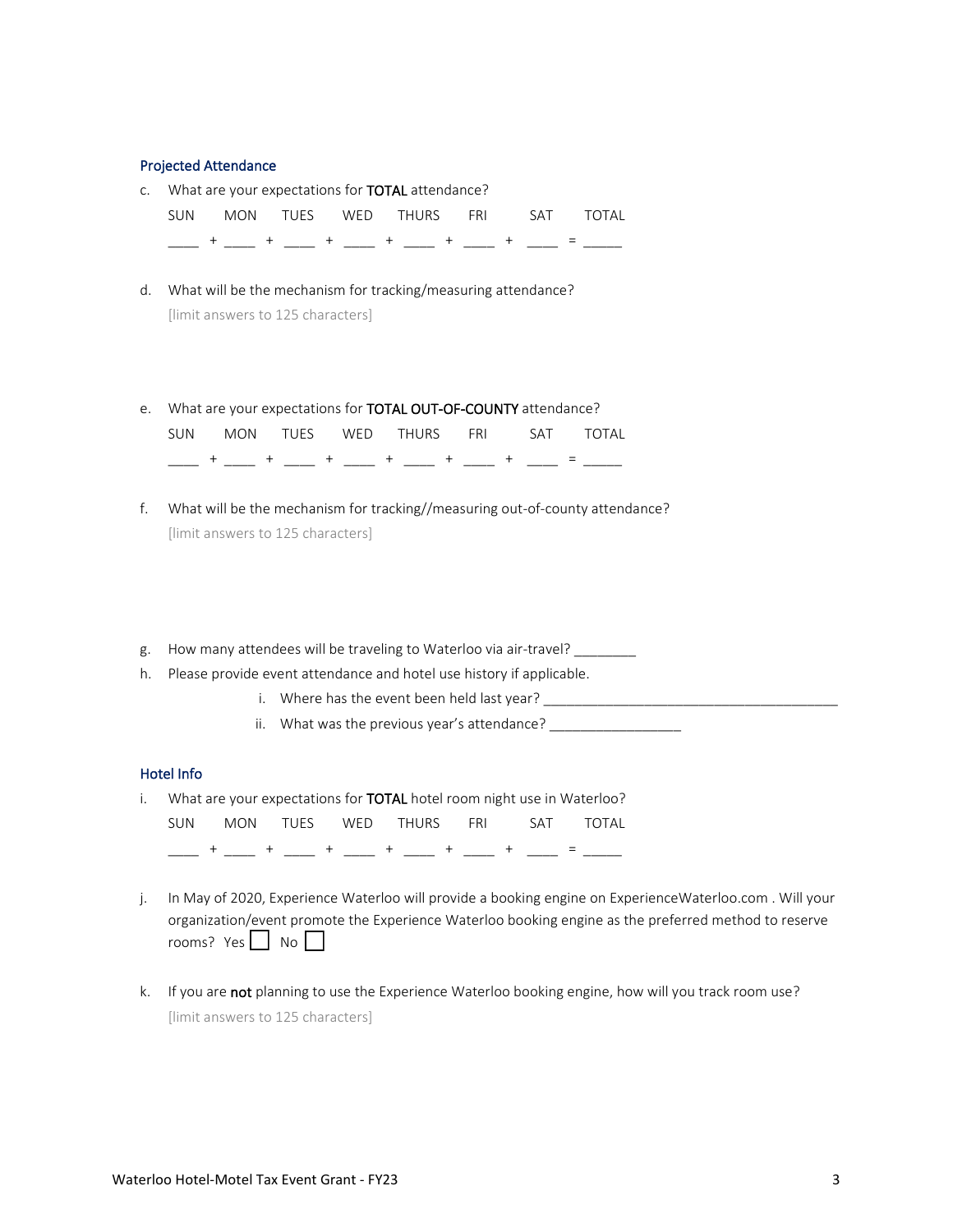#### Projected Attendance

| SUN 5 |  | MON TUES WED THURS FRI SAT TOTAL                           |  |  |
|-------|--|------------------------------------------------------------|--|--|
|       |  | c. What are your expectations for <b>TOTAL</b> attendance? |  |  |

- d. What will be the mechanism for tracking/measuring attendance? [limit answers to 125 characters]
- e. What are your expectations for TOTAL OUT-OF-COUNTY attendance?

|  |  | こうしょう エングル エングル エングル エンジェル エンジェル エンジェル エンジェル エンジェル エンジェル エンジェル エンジェル エンジェル エンジェル エンジェル エンジェル エンジェル エンジェル エンジェル |  |  |
|--|--|----------------------------------------------------------------------------------------------------------------|--|--|
|  |  | SUN MON TUES WED THURS FRI SAT TOTAL                                                                           |  |  |

- f. What will be the mechanism for tracking//measuring out-of-county attendance? [limit answers to 125 characters]
- g. How many attendees will be traveling to Waterloo via air-travel? \_\_\_\_\_\_\_\_
- h. Please provide event attendance and hotel use history if applicable.
	- i. Where has the event been held last year? \_\_\_\_\_\_\_\_\_\_\_\_\_\_\_\_\_\_\_\_\_\_\_\_\_\_\_\_\_\_\_\_\_\_\_\_\_\_
	- ii. What was the previous year's attendance? \_\_\_\_\_\_\_\_\_\_\_

#### Hotel Info

| SUN |  | i. What are your expectations for <b>TOTAL</b> hotel room night use in Waterloo?<br>MON TUES WED THURS FRI SAT TOTAL |  |  |
|-----|--|----------------------------------------------------------------------------------------------------------------------|--|--|
|     |  |                                                                                                                      |  |  |

- j. In May of 2020, Experience Waterloo will provide a booking engine on ExperienceWaterloo.com . Will your organization/event promote the Experience Waterloo booking engine as the preferred method to reserve rooms? Yes  $\Box$  No  $\Box$
- k. If you are not planning to use the Experience Waterloo booking engine, how will you track room use? [limit answers to 125 characters]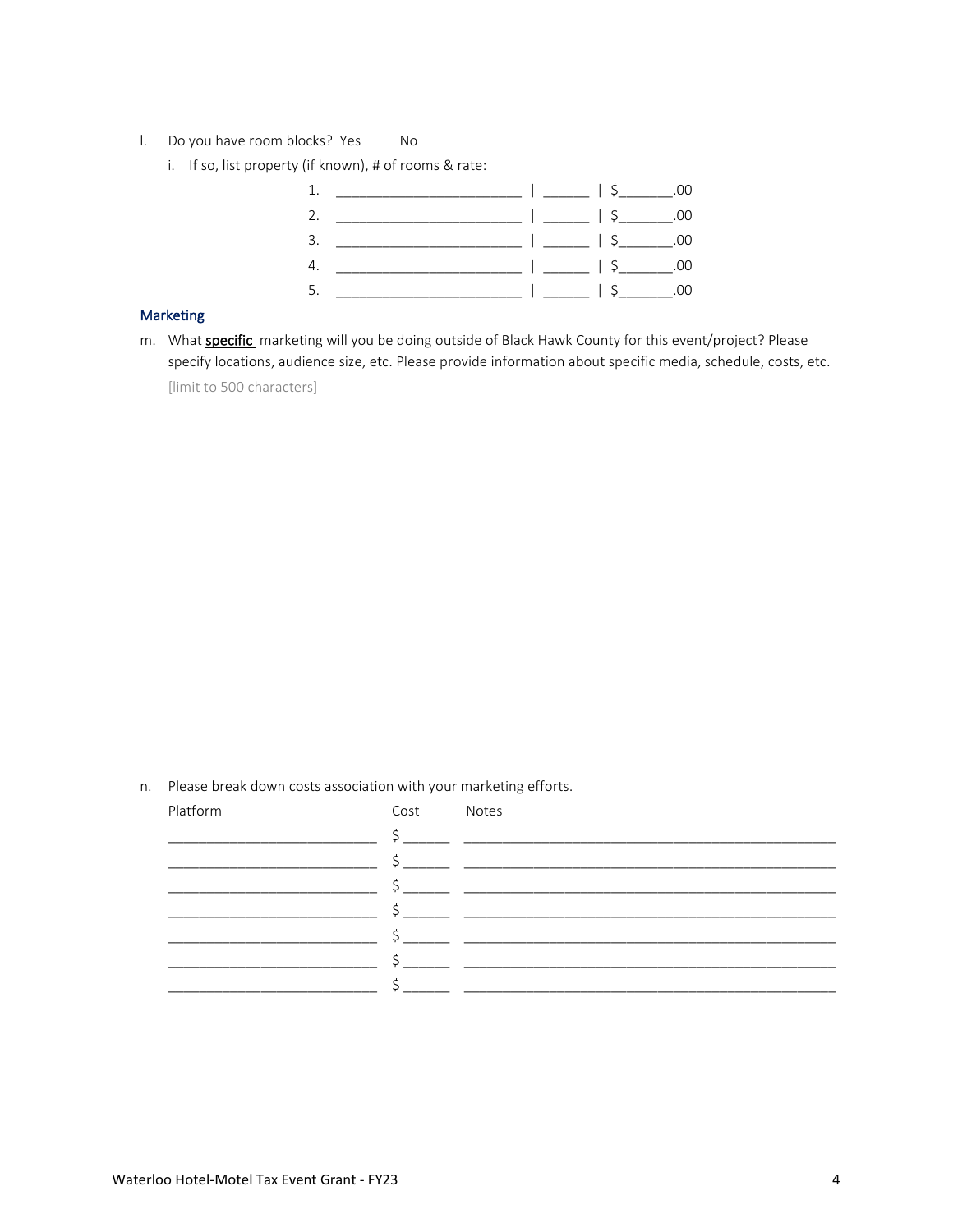- l. Do you have room blocks? Yes No
	- i. If so, list property (if known), # of rooms & rate:



#### **Marketing**

m. What **specific** marketing will you be doing outside of Black Hawk County for this event/project? Please specify locations, audience size, etc. Please provide information about specific media, schedule, costs, etc. [limit to 500 characters]

n. Please break down costs association with your marketing efforts.

| Platform | Cost | Notes |
|----------|------|-------|
|          |      |       |
|          |      |       |
|          |      |       |
|          |      |       |
|          |      |       |
|          |      |       |